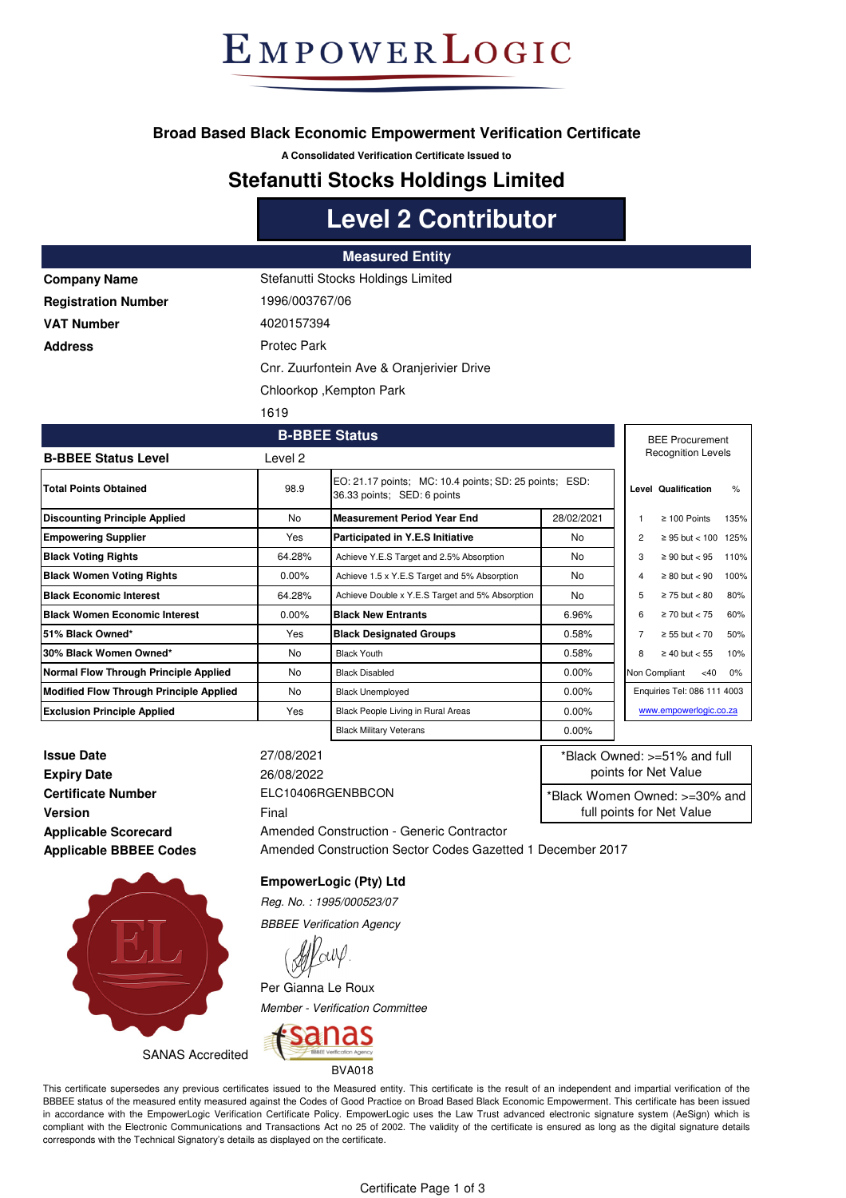## EMPOWERLOGIC

#### **Broad Based Black Economic Empowerment Verification Certificate**

**A Consolidated Verification Certificate Issued to**

#### **Stefanutti Stocks Holdings Limited**

## **Level 2 Contributor**

**Oranjerivier Drive** 

#### **Measured Entity**

| <b>Company Name</b>        | Stefanutti Stocks Holdings Limited |
|----------------------------|------------------------------------|
| <b>Registration Number</b> | 1996/003767/06                     |
| <b>VAT Number</b>          | 4020157394                         |
| <b>Address</b>             | Protec Park                        |
|                            | Cnr. Zuurfontein Ave & Oranjerivie |
|                            | Chloorkop, Kempton Park            |
|                            |                                    |

1619

| <b>B-BBEE Status</b>                           |            |                                                                                       |            | <b>BEE Procurement</b>      |                           |               |  |
|------------------------------------------------|------------|---------------------------------------------------------------------------------------|------------|-----------------------------|---------------------------|---------------|--|
| <b>B-BBEE Status Level</b>                     | Level 2    |                                                                                       |            |                             | <b>Recognition Levels</b> |               |  |
| <b>Total Points Obtained</b>                   | 98.9       | EO: 21.17 points; MC: 10.4 points; SD: 25 points; ESD:<br>36.33 points; SED: 6 points |            |                             | Level Qualification       | $\frac{9}{6}$ |  |
| <b>Discounting Principle Applied</b>           | <b>No</b>  | <b>Measurement Period Year End</b>                                                    | 28/02/2021 |                             | $\geq 100$ Points         | 135%          |  |
| <b>Empowering Supplier</b>                     | Yes        | Participated in Y.E.S Initiative                                                      | No.        | 2                           | ≥ 95 but < 100 125%       |               |  |
| <b>Black Voting Rights</b>                     | 64.28%     | Achieve Y.E.S Target and 2.5% Absorption                                              | No.        |                             | $\geq 90$ but $< 95$      | 110%          |  |
| <b>Black Women Voting Rights</b>               | $0.00\%$   | Achieve 1.5 x Y.E.S Target and 5% Absorption                                          | No.        | 4                           | $\geq 80$ but $< 90$      | 100%          |  |
| <b>Black Economic Interest</b>                 | 64.28%     | Achieve Double x Y.E.S Target and 5% Absorption                                       | No.        |                             | $\geq$ 75 but $<$ 80      | 80%           |  |
| <b>Black Women Economic Interest</b>           | $0.00\%$   | <b>Black New Entrants</b>                                                             | 6.96%      | 6                           | $\geq$ 70 but $<$ 75      | 60%           |  |
| 51% Black Owned*                               | <b>Yes</b> | <b>Black Designated Groups</b>                                                        | 0.58%      |                             | $\geq 55$ but < 70        | 50%           |  |
| 30% Black Women Owned*                         | No         | <b>Black Youth</b>                                                                    | 0.58%      | 8                           | $\geq 40$ but < 55        | 10%           |  |
| Normal Flow Through Principle Applied          | No         | <b>Black Disabled</b>                                                                 | 0.00%      |                             | Non Compliant<br><40      | 0%            |  |
| <b>Modified Flow Through Principle Applied</b> | No         | <b>Black Unemployed</b>                                                               | 0.00%      | Enquiries Tel: 086 111 4003 |                           |               |  |
| <b>Exclusion Principle Applied</b>             | Yes        | Black People Living in Rural Areas                                                    | 0.00%      |                             | www.empowerlogic.co.za    |               |  |
|                                                |            | <b>Black Military Veterans</b>                                                        | 0.00%      |                             |                           |               |  |

**Issue Date** 27/08/2021 **Expiry Date** 26/08/2022 **Certificate Number** ELC10406RGENBBCON **Version** Final **Applicable Scorecard Applicable BBBEE Codes**

Amended Construction - Generic Contractor Amended Construction Sector Codes Gazetted 1 December 2017

\*Black Owned: >=51% and full points for Net Value \*Black Women Owned: >=30% and full points for Net Value



SANAS Accredited

BVA018

*Member - Verification Committee*

anas

**EmpowerLogic (Pty) Ltd** *Reg. No. : 1995/000523/07 BBBEE Verification Agency*

Per Gianna Le Roux

This certificate supersedes any previous certificates issued to the Measured entity. This certificate is the result of an independent and impartial verification of the BBBEE status of the measured entity measured against the Codes of Good Practice on Broad Based Black Economic Empowerment. This certificate has been issued in accordance with the EmpowerLogic Verification Certificate Policy. EmpowerLogic uses the Law Trust advanced electronic signature system (AeSign) which is compliant with the Electronic Communications and Transactions Act no 25 of 2002. The validity of the certificate is ensured as long as the digital signature details corresponds with the Technical Signatory's details as displayed on the certificate.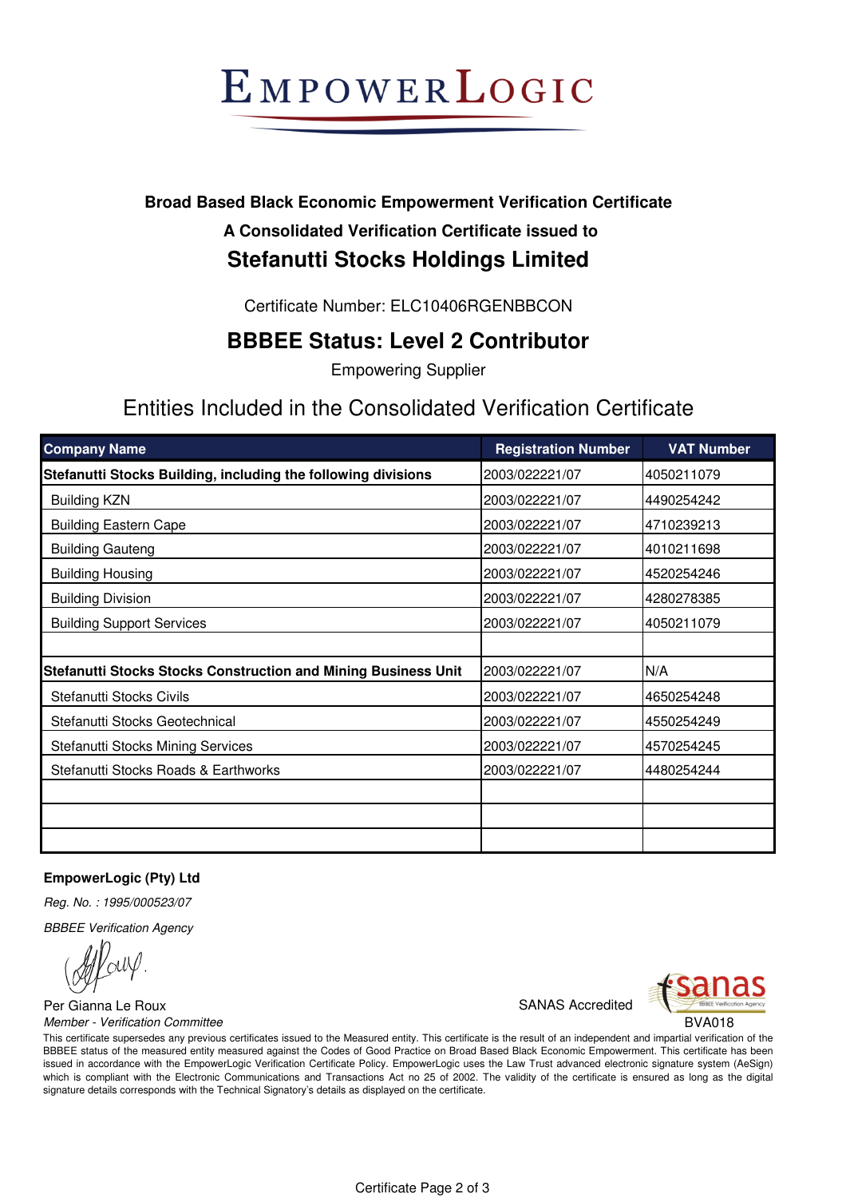# EMPOWERLOGIC

### **Broad Based Black Economic Empowerment Verification Certificate**

#### **A Consolidated Verification Certificate issued to Stefanutti Stocks Holdings Limited**

Certificate Number: ELC10406RGENBBCON

### **BBBEE Status: Level 2 Contributor**

Empowering Supplier

## Entities Included in the Consolidated Verification Certificate

| <b>Company Name</b>                                                   | <b>Registration Number</b> | <b>VAT Number</b> |
|-----------------------------------------------------------------------|----------------------------|-------------------|
| Stefanutti Stocks Building, including the following divisions         | 2003/022221/07             | 4050211079        |
| <b>Building KZN</b>                                                   | 2003/022221/07             | 4490254242        |
| <b>Building Eastern Cape</b>                                          | 2003/022221/07             | 4710239213        |
| <b>Building Gauteng</b>                                               | 2003/022221/07             | 4010211698        |
| <b>Building Housing</b>                                               | 2003/022221/07             | 4520254246        |
| <b>Building Division</b>                                              | 2003/022221/07             | 4280278385        |
| <b>Building Support Services</b>                                      | 2003/022221/07             | 4050211079        |
|                                                                       |                            |                   |
| <b>Stefanutti Stocks Stocks Construction and Mining Business Unit</b> | 2003/022221/07             | N/A               |
| Stefanutti Stocks Civils                                              | 2003/022221/07             | 4650254248        |
| Stefanutti Stocks Geotechnical                                        | 2003/022221/07             | 4550254249        |
| Stefanutti Stocks Mining Services                                     | 2003/022221/07             | 4570254245        |
| Stefanutti Stocks Roads & Earthworks                                  | 2003/022221/07             | 4480254244        |
|                                                                       |                            |                   |
|                                                                       |                            |                   |
|                                                                       |                            |                   |

#### **EmpowerLogic (Pty) Ltd**

*Reg. No. : 1995/000523/07*

*BBBEE Verification Agency*

Per Gianna Le Roux **SANAS** Accredited *Member - Verification Committee* BVA018



This certificate supersedes any previous certificates issued to the Measured entity. This certificate is the result of an independent and impartial verification of the BBBEE status of the measured entity measured against the Codes of Good Practice on Broad Based Black Economic Empowerment. This certificate has been issued in accordance with the EmpowerLogic Verification Certificate Policy. EmpowerLogic uses the Law Trust advanced electronic signature system (AeSign) which is compliant with the Electronic Communications and Transactions Act no 25 of 2002. The validity of the certificate is ensured as long as the digital signature details corresponds with the Technical Signatory's details as displayed on the certificate.